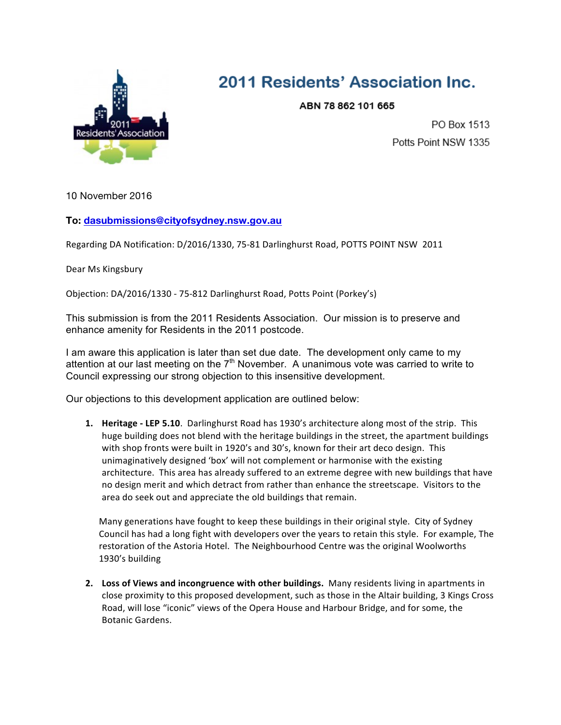

## 2011 Residents' Association Inc.

ABN 78 862 101 665

PO Box 1513 Potts Point NSW 1335

10 November 2016

## **To: dasubmissions@cityofsydney.nsw.gov.au**

Regarding DA Notification: D/2016/1330, 75-81 Darlinghurst Road, POTTS POINT NSW 2011

Dear Ms Kingsbury

Objection: DA/2016/1330 - 75-812 Darlinghurst Road, Potts Point (Porkey's)

This submission is from the 2011 Residents Association. Our mission is to preserve and enhance amenity for Residents in the 2011 postcode.

I am aware this application is later than set due date. The development only came to my attention at our last meeting on the  $7<sup>th</sup>$  November. A unanimous vote was carried to write to Council expressing our strong objection to this insensitive development.

Our objections to this development application are outlined below:

**1.** Heritage - LEP 5.10. Darlinghurst Road has 1930's architecture along most of the strip. This huge building does not blend with the heritage buildings in the street, the apartment buildings with shop fronts were built in 1920's and 30's, known for their art deco design. This unimaginatively designed 'box' will not complement or harmonise with the existing architecture. This area has already suffered to an extreme degree with new buildings that have no design merit and which detract from rather than enhance the streetscape. Visitors to the area do seek out and appreciate the old buildings that remain.

Many generations have fought to keep these buildings in their original style. City of Sydney Council has had a long fight with developers over the years to retain this style. For example, The restoration of the Astoria Hotel. The Neighbourhood Centre was the original Woolworths 1930's building

**2.** Loss of Views and incongruence with other buildings. Many residents living in apartments in close proximity to this proposed development, such as those in the Altair building, 3 Kings Cross Road, will lose "iconic" views of the Opera House and Harbour Bridge, and for some, the Botanic Gardens.